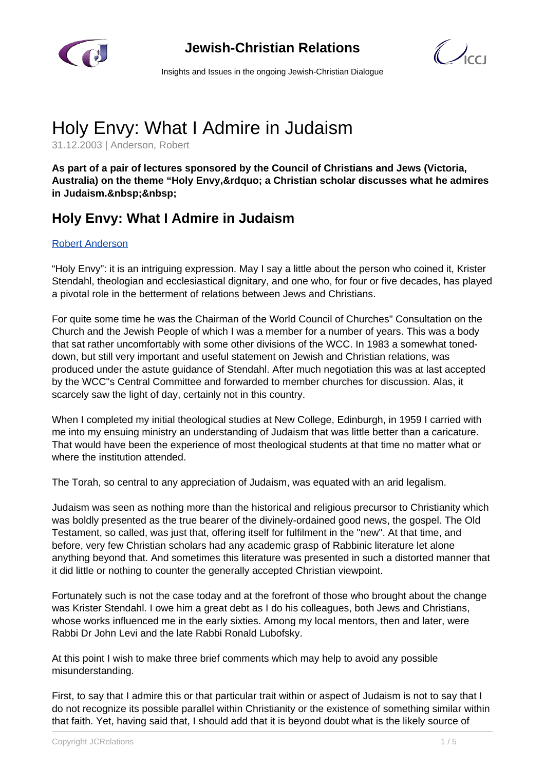

**Jewish-Christian Relations**

 $\mathcal{C}$ 

Insights and Issues in the ongoing Jewish-Christian Dialogue

## Holy Envy: What I Admire in Judaism

31.12.2003 | Anderson, Robert

**As part of a pair of lectures sponsored by the Council of Christians and Jews (Victoria,** Australia) on the theme "Holy Envy, & rdquo; a Christian scholar discusses what he admires in Judaism.

## **Holy Envy: What I Admire in Judaism**

## [Robert Anderson](/de/artikelansicht.html)

"Holy Envy": it is an intriguing expression. May I say a little about the person who coined it, Krister Stendahl, theologian and ecclesiastical dignitary, and one who, for four or five decades, has played a pivotal role in the betterment of relations between Jews and Christians.

For quite some time he was the Chairman of the World Council of Churches" Consultation on the Church and the Jewish People of which I was a member for a number of years. This was a body that sat rather uncomfortably with some other divisions of the WCC. In 1983 a somewhat toneddown, but still very important and useful statement on Jewish and Christian relations, was produced under the astute guidance of Stendahl. After much negotiation this was at last accepted by the WCC"s Central Committee and forwarded to member churches for discussion. Alas, it scarcely saw the light of day, certainly not in this country.

When I completed my initial theological studies at New College, Edinburgh, in 1959 I carried with me into my ensuing ministry an understanding of Judaism that was little better than a caricature. That would have been the experience of most theological students at that time no matter what or where the institution attended.

The Torah, so central to any appreciation of Judaism, was equated with an arid legalism.

Judaism was seen as nothing more than the historical and religious precursor to Christianity which was boldly presented as the true bearer of the divinely-ordained good news, the gospel. The Old Testament, so called, was just that, offering itself for fulfilment in the "new". At that time, and before, very few Christian scholars had any academic grasp of Rabbinic literature let alone anything beyond that. And sometimes this literature was presented in such a distorted manner that it did little or nothing to counter the generally accepted Christian viewpoint.

Fortunately such is not the case today and at the forefront of those who brought about the change was Krister Stendahl. I owe him a great debt as I do his colleagues, both Jews and Christians, whose works influenced me in the early sixties. Among my local mentors, then and later, were Rabbi Dr John Levi and the late Rabbi Ronald Lubofsky.

At this point I wish to make three brief comments which may help to avoid any possible misunderstanding.

First, to say that I admire this or that particular trait within or aspect of Judaism is not to say that I do not recognize its possible parallel within Christianity or the existence of something similar within that faith. Yet, having said that, I should add that it is beyond doubt what is the likely source of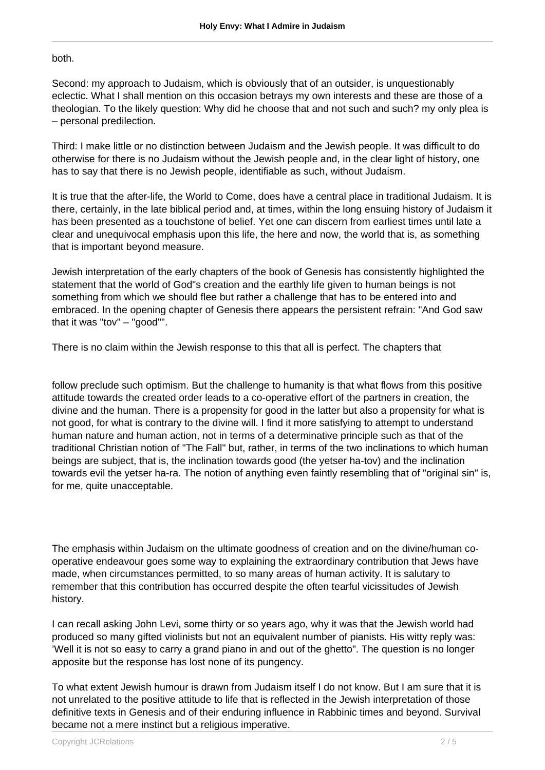## both.

Second: my approach to Judaism, which is obviously that of an outsider, is unquestionably eclectic. What I shall mention on this occasion betrays my own interests and these are those of a theologian. To the likely question: Why did he choose that and not such and such? my only plea is – personal predilection.

Third: I make little or no distinction between Judaism and the Jewish people. It was difficult to do otherwise for there is no Judaism without the Jewish people and, in the clear light of history, one has to say that there is no Jewish people, identifiable as such, without Judaism.

It is true that the after-life, the World to Come, does have a central place in traditional Judaism. It is there, certainly, in the late biblical period and, at times, within the long ensuing history of Judaism it has been presented as a touchstone of belief. Yet one can discern from earliest times until late a clear and unequivocal emphasis upon this life, the here and now, the world that is, as something that is important beyond measure.

Jewish interpretation of the early chapters of the book of Genesis has consistently highlighted the statement that the world of God"s creation and the earthly life given to human beings is not something from which we should flee but rather a challenge that has to be entered into and embraced. In the opening chapter of Genesis there appears the persistent refrain: "And God saw that it was "tov" – "good"".

There is no claim within the Jewish response to this that all is perfect. The chapters that

follow preclude such optimism. But the challenge to humanity is that what flows from this positive attitude towards the created order leads to a co-operative effort of the partners in creation, the divine and the human. There is a propensity for good in the latter but also a propensity for what is not good, for what is contrary to the divine will. I find it more satisfying to attempt to understand human nature and human action, not in terms of a determinative principle such as that of the traditional Christian notion of "The Fall" but, rather, in terms of the two inclinations to which human beings are subject, that is, the inclination towards good (the yetser ha-tov) and the inclination towards evil the yetser ha-ra. The notion of anything even faintly resembling that of "original sin" is, for me, quite unacceptable.

The emphasis within Judaism on the ultimate goodness of creation and on the divine/human cooperative endeavour goes some way to explaining the extraordinary contribution that Jews have made, when circumstances permitted, to so many areas of human activity. It is salutary to remember that this contribution has occurred despite the often tearful vicissitudes of Jewish history.

I can recall asking John Levi, some thirty or so years ago, why it was that the Jewish world had produced so many gifted violinists but not an equivalent number of pianists. His witty reply was: 'Well it is not so easy to carry a grand piano in and out of the ghetto". The question is no longer apposite but the response has lost none of its pungency.

To what extent Jewish humour is drawn from Judaism itself I do not know. But I am sure that it is not unrelated to the positive attitude to life that is reflected in the Jewish interpretation of those definitive texts in Genesis and of their enduring influence in Rabbinic times and beyond. Survival became not a mere instinct but a religious imperative.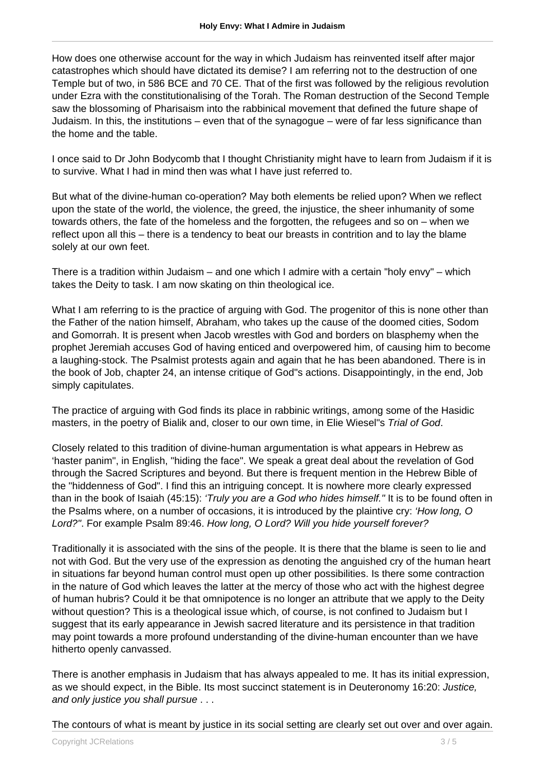How does one otherwise account for the way in which Judaism has reinvented itself after major catastrophes which should have dictated its demise? I am referring not to the destruction of one Temple but of two, in 586 BCE and 70 CE. That of the first was followed by the religious revolution under Ezra with the constitutionalising of the Torah. The Roman destruction of the Second Temple saw the blossoming of Pharisaism into the rabbinical movement that defined the future shape of Judaism. In this, the institutions – even that of the synagogue – were of far less significance than the home and the table.

I once said to Dr John Bodycomb that I thought Christianity might have to learn from Judaism if it is to survive. What I had in mind then was what I have just referred to.

But what of the divine-human co-operation? May both elements be relied upon? When we reflect upon the state of the world, the violence, the greed, the injustice, the sheer inhumanity of some towards others, the fate of the homeless and the forgotten, the refugees and so on – when we reflect upon all this – there is a tendency to beat our breasts in contrition and to lay the blame solely at our own feet.

There is a tradition within Judaism – and one which I admire with a certain "holy envy" – which takes the Deity to task. I am now skating on thin theological ice.

What I am referring to is the practice of arguing with God. The progenitor of this is none other than the Father of the nation himself, Abraham, who takes up the cause of the doomed cities, Sodom and Gomorrah. It is present when Jacob wrestles with God and borders on blasphemy when the prophet Jeremiah accuses God of having enticed and overpowered him, of causing him to become a laughing-stock. The Psalmist protests again and again that he has been abandoned. There is in the book of Job, chapter 24, an intense critique of God"s actions. Disappointingly, in the end, Job simply capitulates.

The practice of arguing with God finds its place in rabbinic writings, among some of the Hasidic masters, in the poetry of Bialik and, closer to our own time, in Elie Wiesel"s Trial of God.

Closely related to this tradition of divine-human argumentation is what appears in Hebrew as 'haster panim", in English, "hiding the face". We speak a great deal about the revelation of God through the Sacred Scriptures and beyond. But there is frequent mention in the Hebrew Bible of the "hiddenness of God". I find this an intriguing concept. It is nowhere more clearly expressed than in the book of Isaiah (45:15): 'Truly you are a God who hides himself." It is to be found often in the Psalms where, on a number of occasions, it is introduced by the plaintive cry: 'How long, O Lord?". For example Psalm 89:46. How long, O Lord? Will you hide yourself forever?

Traditionally it is associated with the sins of the people. It is there that the blame is seen to lie and not with God. But the very use of the expression as denoting the anguished cry of the human heart in situations far beyond human control must open up other possibilities. Is there some contraction in the nature of God which leaves the latter at the mercy of those who act with the highest degree of human hubris? Could it be that omnipotence is no longer an attribute that we apply to the Deity without question? This is a theological issue which, of course, is not confined to Judaism but I suggest that its early appearance in Jewish sacred literature and its persistence in that tradition may point towards a more profound understanding of the divine-human encounter than we have hitherto openly canvassed.

There is another emphasis in Judaism that has always appealed to me. It has its initial expression, as we should expect, in the Bible. Its most succinct statement is in Deuteronomy 16:20: Justice, and only justice you shall pursue . . .

The contours of what is meant by justice in its social setting are clearly set out over and over again.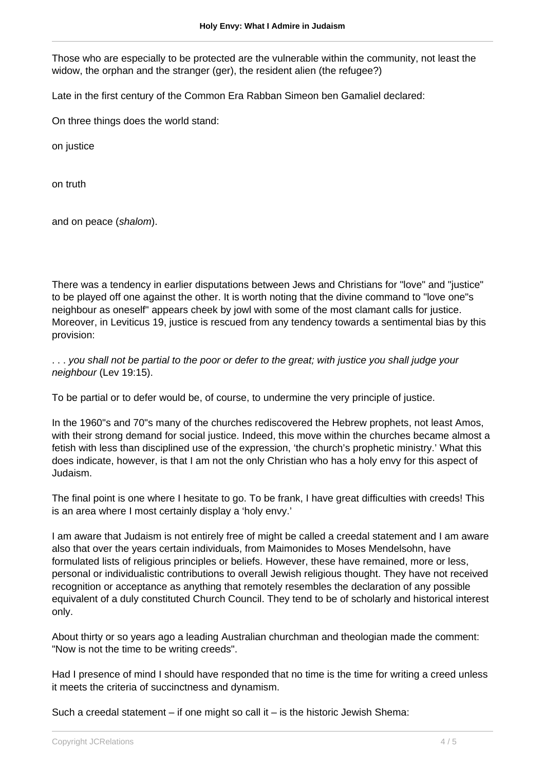Those who are especially to be protected are the vulnerable within the community, not least the widow, the orphan and the stranger (ger), the resident alien (the refugee?)

Late in the first century of the Common Era Rabban Simeon ben Gamaliel declared:

On three things does the world stand:

on justice

on truth

and on peace (shalom).

There was a tendency in earlier disputations between Jews and Christians for "love" and "justice" to be played off one against the other. It is worth noting that the divine command to "love one"s neighbour as oneself" appears cheek by jowl with some of the most clamant calls for justice. Moreover, in Leviticus 19, justice is rescued from any tendency towards a sentimental bias by this provision:

. . . you shall not be partial to the poor or defer to the great; with justice you shall judge your neighbour (Lev 19:15).

To be partial or to defer would be, of course, to undermine the very principle of justice.

In the 1960"s and 70"s many of the churches rediscovered the Hebrew prophets, not least Amos, with their strong demand for social justice. Indeed, this move within the churches became almost a fetish with less than disciplined use of the expression, 'the church's prophetic ministry.' What this does indicate, however, is that I am not the only Christian who has a holy envy for this aspect of Judaism.

The final point is one where I hesitate to go. To be frank, I have great difficulties with creeds! This is an area where I most certainly display a 'holy envy.'

I am aware that Judaism is not entirely free of might be called a creedal statement and I am aware also that over the years certain individuals, from Maimonides to Moses Mendelsohn, have formulated lists of religious principles or beliefs. However, these have remained, more or less, personal or individualistic contributions to overall Jewish religious thought. They have not received recognition or acceptance as anything that remotely resembles the declaration of any possible equivalent of a duly constituted Church Council. They tend to be of scholarly and historical interest only.

About thirty or so years ago a leading Australian churchman and theologian made the comment: "Now is not the time to be writing creeds".

Had I presence of mind I should have responded that no time is the time for writing a creed unless it meets the criteria of succinctness and dynamism.

Such a creedal statement  $-$  if one might so call it  $-$  is the historic Jewish Shema: